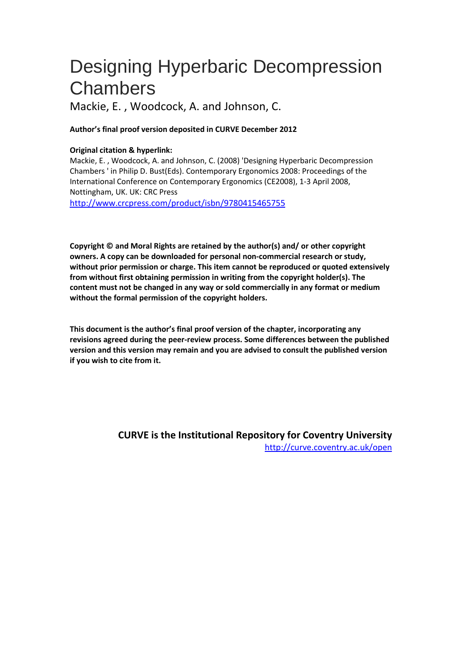# Designing Hyperbaric Decompression **Chambers**

Mackie, E. , Woodcock, A. and Johnson, C.

## **Author's final proof version deposited in CURVE December 2012**

## **Original citation & hyperlink:**

Mackie, E. , Woodcock, A. and Johnson, C. (2008) 'Designing Hyperbaric Decompression Chambers ' in Philip D. Bust(Eds). Contemporary Ergonomics 2008: Proceedings of the International Conference on Contemporary Ergonomics (CE2008), 1-3 April 2008, Nottingham, UK. UK: CRC Press http://www.crcpress.com/product/isbn/9780415465755

**Copyright © and Moral Rights are retained by the author(s) and/ or other copyright owners. A copy can be downloaded for personal non-commercial research or study, without prior permission or charge. This item cannot be reproduced or quoted extensively from without first obtaining permission in writing from the copyright holder(s). The content must not be changed in any way or sold commercially in any format or medium without the formal permission of the copyright holders.** 

**This document is the author's final proof version of the chapter, incorporating any revisions agreed during the peer-review process. Some differences between the published version and this version may remain and you are advised to consult the published version if you wish to cite from it.** 

> **CURVE is the Institutional Repository for Coventry University** http://curve.coventry.ac.uk/open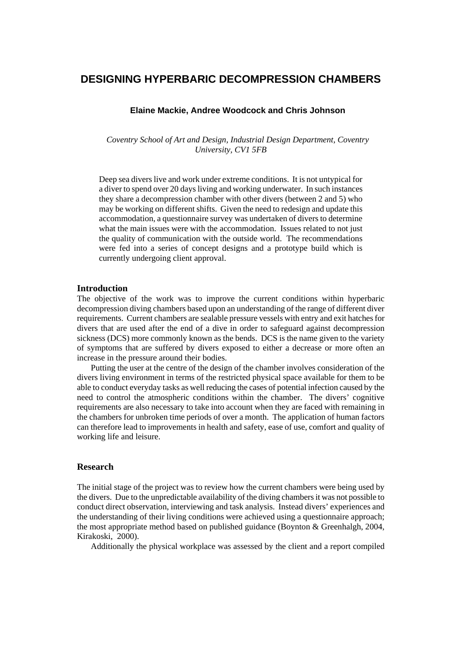## **DESIGNING HYPERBARIC DECOMPRESSION CHAMBERS**

#### **Elaine Mackie, Andree Woodcock and Chris Johnson**

*Coventry School of Art and Design, Industrial Design Department, Coventry University, CV1 5FB* 

Deep sea divers live and work under extreme conditions. It is not untypical for a diver to spend over 20 days living and working underwater. In such instances they share a decompression chamber with other divers (between 2 and 5) who may be working on different shifts. Given the need to redesign and update this accommodation, a questionnaire survey was undertaken of divers to determine what the main issues were with the accommodation. Issues related to not just the quality of communication with the outside world. The recommendations were fed into a series of concept designs and a prototype build which is currently undergoing client approval.

#### **Introduction**

The objective of the work was to improve the current conditions within hyperbaric decompression diving chambers based upon an understanding of the range of different diver requirements. Current chambers are sealable pressure vessels with entry and exit hatches for divers that are used after the end of a dive in order to safeguard against decompression sickness (DCS) more commonly known as the bends. DCS is the name given to the variety of symptoms that are suffered by divers exposed to either a decrease or more often an increase in the pressure around their bodies.

Putting the user at the centre of the design of the chamber involves consideration of the divers living environment in terms of the restricted physical space available for them to be able to conduct everyday tasks as well reducing the cases of potential infection caused by the need to control the atmospheric conditions within the chamber. The divers' cognitive requirements are also necessary to take into account when they are faced with remaining in the chambers for unbroken time periods of over a month. The application of human factors can therefore lead to improvements in health and safety, ease of use, comfort and quality of working life and leisure.

#### **Research**

The initial stage of the project was to review how the current chambers were being used by the divers. Due to the unpredictable availability of the diving chambers it was not possible to conduct direct observation, interviewing and task analysis. Instead divers' experiences and the understanding of their living conditions were achieved using a questionnaire approach; the most appropriate method based on published guidance (Boynton & Greenhalgh, 2004, Kirakoski, 2000).

Additionally the physical workplace was assessed by the client and a report compiled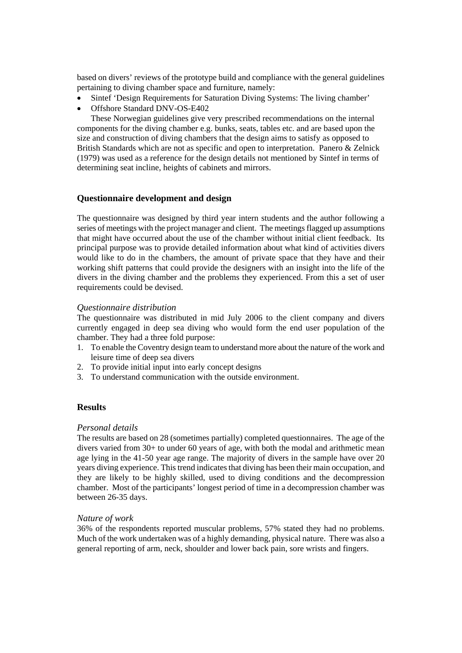based on divers' reviews of the prototype build and compliance with the general guidelines pertaining to diving chamber space and furniture, namely:

- Sintef 'Design Requirements for Saturation Diving Systems: The living chamber'
- Offshore Standard DNV-OS-E402

These Norwegian guidelines give very prescribed recommendations on the internal components for the diving chamber e.g. bunks, seats, tables etc. and are based upon the size and construction of diving chambers that the design aims to satisfy as opposed to British Standards which are not as specific and open to interpretation. Panero & Zelnick (1979) was used as a reference for the design details not mentioned by Sintef in terms of determining seat incline, heights of cabinets and mirrors.

## **Questionnaire development and design**

The questionnaire was designed by third year intern students and the author following a series of meetings with the project manager and client. The meetings flagged up assumptions that might have occurred about the use of the chamber without initial client feedback. Its principal purpose was to provide detailed information about what kind of activities divers would like to do in the chambers, the amount of private space that they have and their working shift patterns that could provide the designers with an insight into the life of the divers in the diving chamber and the problems they experienced. From this a set of user requirements could be devised.

### *Questionnaire distribution*

The questionnaire was distributed in mid July 2006 to the client company and divers currently engaged in deep sea diving who would form the end user population of the chamber. They had a three fold purpose:

- 1. To enable the Coventry design team to understand more about the nature of the work and leisure time of deep sea divers
- 2. To provide initial input into early concept designs
- 3. To understand communication with the outside environment.

## **Results**

#### *Personal details*

The results are based on 28 (sometimes partially) completed questionnaires. The age of the divers varied from 30+ to under 60 years of age, with both the modal and arithmetic mean age lying in the 41-50 year age range. The majority of divers in the sample have over 20 years diving experience. This trend indicates that diving has been their main occupation, and they are likely to be highly skilled, used to diving conditions and the decompression chamber. Most of the participants' longest period of time in a decompression chamber was between 26-35 days.

#### *Nature of work*

36% of the respondents reported muscular problems, 57% stated they had no problems. Much of the work undertaken was of a highly demanding, physical nature. There was also a general reporting of arm, neck, shoulder and lower back pain, sore wrists and fingers.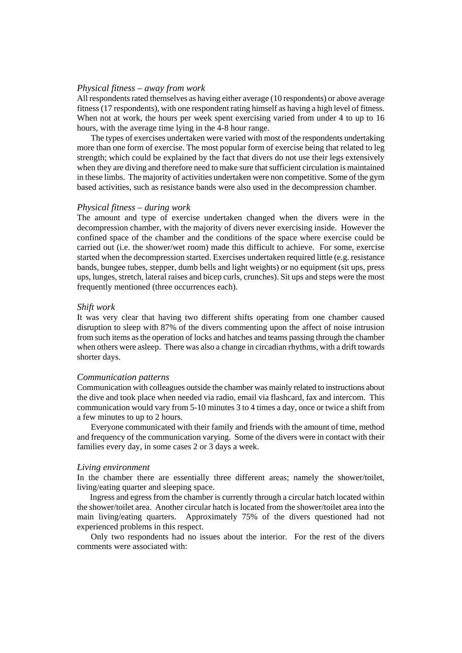#### *Physical fitness – away from work*

All respondents rated themselves as having either average (10 respondents) or above average fitness (17 respondents), with one respondent rating himself as having a high level of fitness. When not at work, the hours per week spent exercising varied from under 4 to up to 16 hours, with the average time lying in the 4-8 hour range.

The types of exercises undertaken were varied with most of the respondents undertaking more than one form of exercise. The most popular form of exercise being that related to leg strength; which could be explained by the fact that divers do not use their legs extensively when they are diving and therefore need to make sure that sufficient circulation is maintained in these limbs. The majority of activities undertaken were non competitive. Some of the gym based activities, such as resistance bands were also used in the decompression chamber.

#### *Physical fitness – during work*

The amount and type of exercise undertaken changed when the divers were in the decompression chamber, with the majority of divers never exercising inside. However the confined space of the chamber and the conditions of the space where exercise could be carried out (i.e. the shower/wet room) made this difficult to achieve. For some, exercise started when the decompression started. Exercises undertaken required little (e.g. resistance bands, bungee tubes, stepper, dumb bells and light weights) or no equipment (sit ups, press ups, lunges, stretch, lateral raises and bicep curls, crunches). Sit ups and steps were the most frequently mentioned (three occurrences each).

#### *Shift work*

It was very clear that having two different shifts operating from one chamber caused disruption to sleep with 87% of the divers commenting upon the affect of noise intrusion from such items as the operation of locks and hatches and teams passing through the chamber when others were asleep. There was also a change in circadian rhythms, with a drift towards shorter days.

#### *Communication patterns*

Communication with colleagues outside the chamber was mainly related to instructions about the dive and took place when needed via radio, email via flashcard, fax and intercom. This communication would vary from 5-10 minutes 3 to 4 times a day, once or twice a shift from a few minutes to up to 2 hours.

Everyone communicated with their family and friends with the amount of time, method and frequency of the communication varying. Some of the divers were in contact with their families every day, in some cases 2 or 3 days a week.

#### *Living environment*

In the chamber there are essentially three different areas; namely the shower/toilet, living/eating quarter and sleeping space.

Ingress and egress from the chamber is currently through a circular hatch located within the shower/toilet area. Another circular hatch is located from the shower/toilet area into the main living/eating quarters. Approximately 75% of the divers questioned had not experienced problems in this respect.

Only two respondents had no issues about the interior. For the rest of the divers comments were associated with: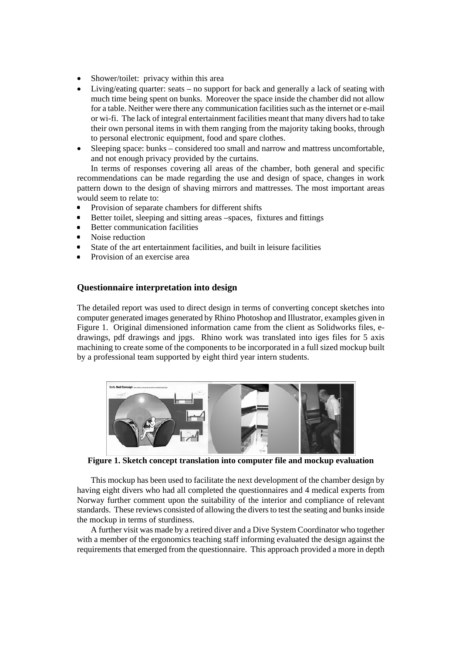- Shower/toilet: privacy within this area
- Living/eating quarter: seats no support for back and generally a lack of seating with much time being spent on bunks. Moreover the space inside the chamber did not allow for a table. Neither were there any communication facilities such as the internet or e-mail or wi-fi. The lack of integral entertainment facilities meant that many divers had to take their own personal items in with them ranging from the majority taking books, through to personal electronic equipment, food and spare clothes.
- Sleeping space: bunks considered too small and narrow and mattress uncomfortable, and not enough privacy provided by the curtains.

In terms of responses covering all areas of the chamber, both general and specific recommendations can be made regarding the use and design of space, changes in work pattern down to the design of shaving mirrors and mattresses. The most important areas would seem to relate to:

- Provision of separate chambers for different shifts  $\bullet$
- Better toilet, sleeping and sitting areas –spaces, fixtures and fittings  $\bullet$
- $\blacksquare$ Better communication facilities
- Noise reduction
- State of the art entertainment facilities, and built in leisure facilities
- Provision of an exercise area

#### **Questionnaire interpretation into design**

The detailed report was used to direct design in terms of converting concept sketches into computer generated images generated by Rhino Photoshop and Illustrator, examples given in Figure 1. Original dimensioned information came from the client as Solidworks files, edrawings, pdf drawings and jpgs. Rhino work was translated into iges files for 5 axis machining to create some of the components to be incorporated in a full sized mockup built by a professional team supported by eight third year intern students.



**Figure 1. Sketch concept translation into computer file and mockup evaluation** 

This mockup has been used to facilitate the next development of the chamber design by having eight divers who had all completed the questionnaires and 4 medical experts from Norway further comment upon the suitability of the interior and compliance of relevant standards. These reviews consisted of allowing the divers to test the seating and bunks inside the mockup in terms of sturdiness.

A further visit was made by a retired diver and a Dive System Coordinator who together with a member of the ergonomics teaching staff informing evaluated the design against the requirements that emerged from the questionnaire. This approach provided a more in depth